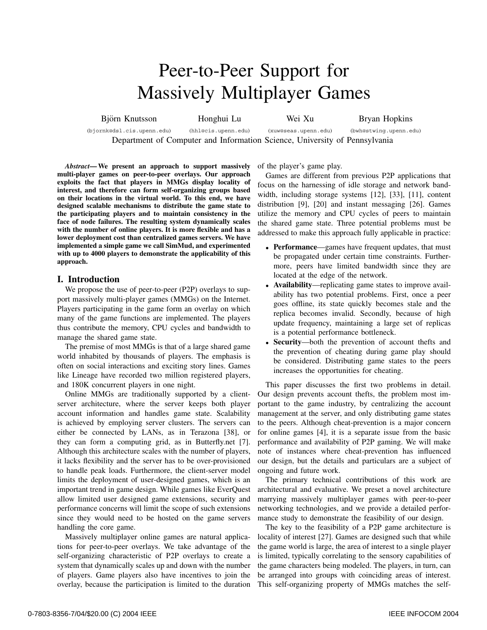# Peer-to-Peer Support for Massively Multiplayer Games

Björn Knutsson

Honghui Lu

Wei Xu

Bryan Hopkins

(bjornk@dsl.cis.upenn.edu) (hhl@cis.upenn.edu) (xuw@seas.upenn.edu) (bwh@stwing.upenn.edu) Department of Computer and Information Science, University of Pennsylvania

*Abstract***— We present an approach to support massively multi-player games on peer-to-peer overlays. Our approach exploits the fact that players in MMGs display locality of interest, and therefore can form self-organizing groups based on their locations in the virtual world. To this end, we have designed scalable mechanisms to distribute the game state to the participating players and to maintain consistency in the face of node failures. The resulting system dynamically scales with the number of online players. It is more flexible and has a lower deployment cost than centralized games servers. We have implemented a simple game we call SimMud, and experimented with up to 4000 players to demonstrate the applicability of this approach.**

# **I. Introduction**

We propose the use of peer-to-peer (P2P) overlays to support massively multi-player games (MMGs) on the Internet. Players participating in the game form an overlay on which many of the game functions are implemented. The players thus contribute the memory, CPU cycles and bandwidth to manage the shared game state.

The premise of most MMGs is that of a large shared game world inhabited by thousands of players. The emphasis is often on social interactions and exciting story lines. Games like Lineage have recorded two million registered players, and 180K concurrent players in one night.

Online MMGs are traditionally supported by a clientserver architecture, where the server keeps both player account information and handles game state. Scalability is achieved by employing server clusters. The servers can either be connected by LANs, as in Terazona [38], or they can form a computing grid, as in Butterfly.net [7]. Although this architecture scales with the number of players, it lacks flexibility and the server has to be over-provisioned to handle peak loads. Furthermore, the client-server model limits the deployment of user-designed games, which is an important trend in game design. While games like EverQuest allow limited user designed game extensions, security and performance concerns will limit the scope of such extensions since they would need to be hosted on the game servers handling the core game.

Massively multiplayer online games are natural applications for peer-to-peer overlays. We take advantage of the self-organizing characteristic of P2P overlays to create a system that dynamically scales up and down with the number of players. Game players also have incentives to join the overlay, because the participation is limited to the duration of the player's game play.

Games are different from previous P2P applications that focus on the harnessing of idle storage and network bandwidth, including storage systems [12], [33], [11], content distribution [9], [20] and instant messaging [26]. Games utilize the memory and CPU cycles of peers to maintain the shared game state. Three potential problems must be addressed to make this approach fully applicable in practice:

- **Performance**—games have frequent updates, that must be propagated under certain time constraints. Furthermore, peers have limited bandwidth since they are located at the edge of the network.
- **Availability**—replicating game states to improve availability has two potential problems. First, once a peer goes offline, its state quickly becomes stale and the replica becomes invalid. Secondly, because of high update frequency, maintaining a large set of replicas is a potential performance bottleneck.
- **Security**—both the prevention of account thefts and the prevention of cheating during game play should be considered. Distributing game states to the peers increases the opportunities for cheating.

This paper discusses the first two problems in detail. Our design prevents account thefts, the problem most important to the game industry, by centralizing the account management at the server, and only distributing game states to the peers. Although cheat-prevention is a major concern for online games [4], it is a separate issue from the basic performance and availability of P2P gaming. We will make note of instances where cheat-prevention has influenced our design, but the details and particulars are a subject of ongoing and future work.

The primary technical contributions of this work are architectural and evaluative. We preset a novel architecture marrying massively multiplayer games with peer-to-peer networking technologies, and we provide a detailed performance study to demonstrate the feasibility of our design.

The key to the feasibility of a P2P game architecture is locality of interest [27]. Games are designed such that while the game world is large, the area of interest to a single player is limited, typically correlating to the sensory capabilities of the game characters being modeled. The players, in turn, can be arranged into groups with coinciding areas of interest. This self-organizing property of MMGs matches the self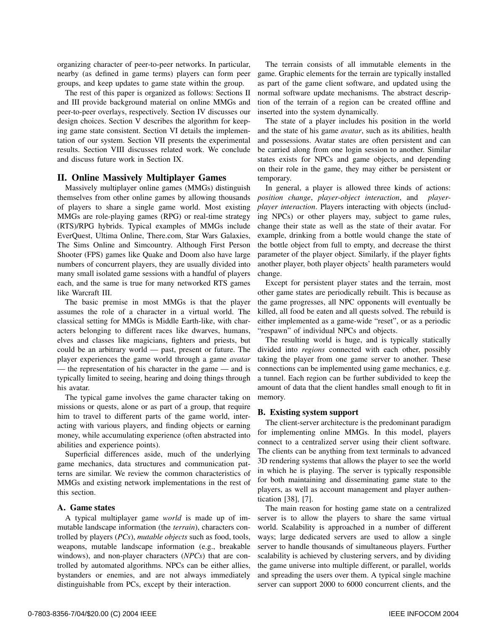organizing character of peer-to-peer networks. In particular, nearby (as defined in game terms) players can form peer groups, and keep updates to game state within the group.

The rest of this paper is organized as follows: Sections II and III provide background material on online MMGs and peer-to-peer overlays, respectively. Section IV discusses our design choices. Section V describes the algorithm for keeping game state consistent. Section VI details the implementation of our system. Section VII presents the experimental results. Section VIII discusses related work. We conclude and discuss future work in Section IX.

# **II. Online Massively Multiplayer Games**

Massively multiplayer online games (MMGs) distinguish themselves from other online games by allowing thousands of players to share a single game world. Most existing MMGs are role-playing games (RPG) or real-time strategy (RTS)/RPG hybrids. Typical examples of MMGs include EverQuest, Ultima Online, There.com, Star Wars Galaxies, The Sims Online and Simcountry. Although First Person Shooter (FPS) games like Quake and Doom also have large numbers of concurrent players, they are usually divided into many small isolated game sessions with a handful of players each, and the same is true for many networked RTS games like Warcraft III.

The basic premise in most MMGs is that the player assumes the role of a character in a virtual world. The classical setting for MMGs is Middle Earth-like, with characters belonging to different races like dwarves, humans, elves and classes like magicians, fighters and priests, but could be an arbitrary world — past, present or future. The player experiences the game world through a game *avatar* — the representation of his character in the game — and is typically limited to seeing, hearing and doing things through his avatar.

The typical game involves the game character taking on missions or quests, alone or as part of a group, that require him to travel to different parts of the game world, interacting with various players, and finding objects or earning money, while accumulating experience (often abstracted into abilities and experience points).

Superficial differences aside, much of the underlying game mechanics, data structures and communication patterns are similar. We review the common characteristics of MMGs and existing network implementations in the rest of this section.

# **A. Game states**

A typical multiplayer game *world* is made up of immutable landscape information (the *terrain*), characters controlled by players (*PCs*), *mutable objects* such as food, tools, weapons, mutable landscape information (e.g., breakable windows), and non-player characters (*NPCs*) that are controlled by automated algorithms. NPCs can be either allies, bystanders or enemies, and are not always immediately distinguishable from PCs, except by their interaction.

The terrain consists of all immutable elements in the game. Graphic elements for the terrain are typically installed as part of the game client software, and updated using the normal software update mechanisms. The abstract description of the terrain of a region can be created offline and inserted into the system dynamically.

The state of a player includes his position in the world and the state of his game *avatar*, such as its abilities, health and possessions. Avatar states are often persistent and can be carried along from one login session to another. Similar states exists for NPCs and game objects, and depending on their role in the game, they may either be persistent or temporary.

In general, a player is allowed three kinds of actions: *position change*, *player-object interaction*, and *playerplayer interaction*. Players interacting with objects (including NPCs) or other players may, subject to game rules, change their state as well as the state of their avatar. For example, drinking from a bottle would change the state of the bottle object from full to empty, and decrease the thirst parameter of the player object. Similarly, if the player fights another player, both player objects' health parameters would change.

Except for persistent player states and the terrain, most other game states are periodically rebuilt. This is because as the game progresses, all NPC opponents will eventually be killed, all food be eaten and all quests solved. The rebuild is either implemented as a game-wide "reset", or as a periodic "respawn" of individual NPCs and objects.

The resulting world is huge, and is typically statically divided into *regions* connected with each other, possibly taking the player from one game server to another. These connections can be implemented using game mechanics, e.g. a tunnel. Each region can be further subdivided to keep the amount of data that the client handles small enough to fit in memory.

# **B. Existing system support**

The client-server architecture is the predominant paradigm for implementing online MMGs. In this model, players connect to a centralized server using their client software. The clients can be anything from text terminals to advanced 3D rendering systems that allows the player to see the world in which he is playing. The server is typically responsible for both maintaining and disseminating game state to the players, as well as account management and player authentication [38], [7].

The main reason for hosting game state on a centralized server is to allow the players to share the same virtual world. Scalability is approached in a number of different ways; large dedicated servers are used to allow a single server to handle thousands of simultaneous players. Further scalability is achieved by clustering servers, and by dividing the game universe into multiple different, or parallel, worlds and spreading the users over them. A typical single machine server can support 2000 to 6000 concurrent clients, and the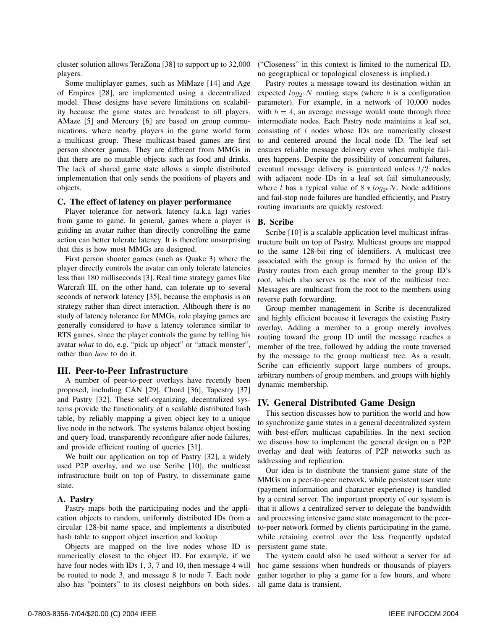players.

Some multiplayer games, such as MiMaze [14] and Age of Empires [28], are implemented using a decentralized model. These designs have severe limitations on scalability because the game states are broadcast to all players. AMaze [5] and Mercury [6] are based on group communications, where nearby players in the game world form a multicast group. These multicast-based games are first person shooter games. They are different from MMGs in that there are no mutable objects such as food and drinks. The lack of shared game state allows a simple distributed implementation that only sends the positions of players and objects.

# **C. The effect of latency on player performance**

Player tolerance for network latency (a.k.a lag) varies from game to game. In general, games where a player is guiding an avatar rather than directly controlling the game action can better tolerate latency. It is therefore unsurprising that this is how most MMGs are designed.

First person shooter games (such as Quake 3) where the player directly controls the avatar can only tolerate latencies less than 180 milliseconds [3]. Real time strategy games like Warcraft III, on the other hand, can tolerate up to several seconds of network latency [35], because the emphasis is on strategy rather than direct interaction. Although there is no study of latency tolerance for MMGs, role playing games are generally considered to have a latency tolerance similar to RTS games, since the player controls the game by telling his avatar *what* to do, e.g. "pick up object" or "attack monster", rather than *how* to do it.

## **III. Peer-to-Peer Infrastructure**

A number of peer-to-peer overlays have recently been proposed, including CAN [29], Chord [36], Tapestry [37] and Pastry [32]. These self-organizing, decentralized systems provide the functionality of a scalable distributed hash table, by reliably mapping a given object key to a unique live node in the network. The systems balance object hosting and query load, transparently reconfigure after node failures, and provide efficient routing of queries [31].

We built our application on top of Pastry [32], a widely used P2P overlay, and we use Scribe [10], the multicast infrastructure built on top of Pastry, to disseminate game state.

#### **A. Pastry**

Pastry maps both the participating nodes and the application objects to random, uniformly distributed IDs from a circular 128-bit name space, and implements a distributed hash table to support object insertion and lookup.

Objects are mapped on the live nodes whose ID is numerically closest to the object ID. For example, if we have four nodes with IDs 1, 3, 7 and 10, then message 4 will be routed to node 3, and message 8 to node 7. Each node also has "pointers" to its closest neighbors on both sides.

cluster solution allows TeraZona [38] to support up to 32,000 ("Closeness" in this context is limited to the numerical ID, no geographical or topological closeness is implied.)

> Pastry routes a message toward its destination within an expected  $log_{2b}N$  routing steps (where *b* is a configuration parameter). For example, in a network of 10,000 nodes with  $b = 4$ , an average message would route through three intermediate nodes. Each Pastry node maintains a leaf set, consisting of *l* nodes whose IDs are numerically closest to and centered around the local node ID. The leaf set ensures reliable message delivery even when multiple failures happens. Despite the possibility of concurrent failures, eventual message delivery is guaranteed unless *l/*<sup>2</sup> nodes with adjacent node IDs in a leaf set fail simultaneously, where *l* has a typical value of  $8 * log_{2b} N$ . Node additions and fail-stop node failures are handled efficiently, and Pastry routing invariants are quickly restored.

#### **B. Scribe**

Scribe [10] is a scalable application level multicast infrastructure built on top of Pastry. Multicast groups are mapped to the same 128-bit ring of identifiers. A multicast tree associated with the group is formed by the union of the Pastry routes from each group member to the group ID's root, which also serves as the root of the multicast tree. Messages are multicast from the root to the members using reverse path forwarding.

Group member management in Scribe is decentralized and highly efficient because it leverages the existing Pastry overlay. Adding a member to a group merely involves routing toward the group ID until the message reaches a member of the tree, followed by adding the route traversed by the message to the group multicast tree. As a result, Scribe can efficiently support large numbers of groups, arbitrary numbers of group members, and groups with highly dynamic membership.

# **IV. General Distributed Game Design**

This section discusses how to partition the world and how to synchronize game states in a general decentralized system with best-effort multicast capabilities. In the next section we discuss how to implement the general design on a P2P overlay and deal with features of P2P networks such as addressing and replication.

Our idea is to distribute the transient game state of the MMGs on a peer-to-peer network, while persistent user state (payment information and character experience) is handled by a central server. The important property of our system is that it allows a centralized server to delegate the bandwidth and processing intensive game state management to the peerto-peer network formed by clients participating in the game, while retaining control over the less frequently updated persistent game state.

The system could also be used without a server for ad hoc game sessions when hundreds or thousands of players gather together to play a game for a few hours, and where all game data is transient.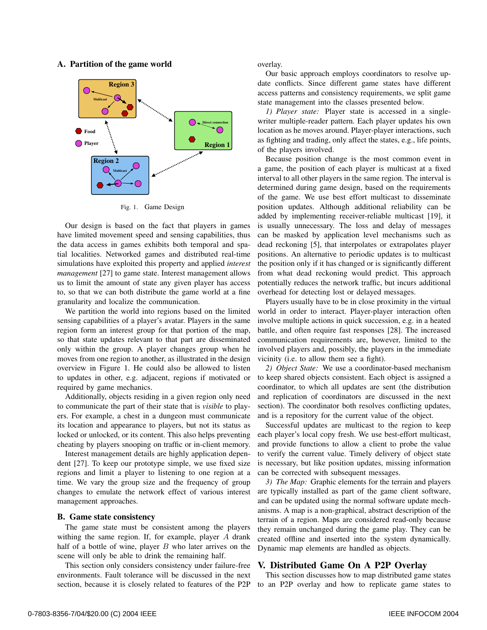#### **A. Partition of the game world**



Fig. 1. Game Design

Our design is based on the fact that players in games have limited movement speed and sensing capabilities, thus the data access in games exhibits both temporal and spatial localities. Networked games and distributed real-time simulations have exploited this property and applied *interest management* [27] to game state. Interest management allows us to limit the amount of state any given player has access to, so that we can both distribute the game world at a fine granularity and localize the communication.

We partition the world into regions based on the limited sensing capabilities of a player's avatar. Players in the same region form an interest group for that portion of the map, so that state updates relevant to that part are disseminated only within the group. A player changes group when he moves from one region to another, as illustrated in the design overview in Figure 1. He could also be allowed to listen to updates in other, e.g. adjacent, regions if motivated or required by game mechanics.

Additionally, objects residing in a given region only need to communicate the part of their state that is *visible* to players. For example, a chest in a dungeon must communicate its location and appearance to players, but not its status as locked or unlocked, or its content. This also helps preventing cheating by players snooping on traffic or in-client memory.

Interest management details are highly application dependent [27]. To keep our prototype simple, we use fixed size regions and limit a player to listening to one region at a time. We vary the group size and the frequency of group changes to emulate the network effect of various interest management approaches.

# **B. Game state consistency**

The game state must be consistent among the players withing the same region. If, for example, player *A* drank half of a bottle of wine, player *B* who later arrives on the scene will only be able to drink the remaining half.

This section only considers consistency under failure-free environments. Fault tolerance will be discussed in the next

overlay.

Our basic approach employs coordinators to resolve update conflicts. Since different game states have different access patterns and consistency requirements, we split game state management into the classes presented below.

*1) Player state:* Player state is accessed in a singlewriter multiple-reader pattern. Each player updates his own location as he moves around. Player-player interactions, such as fighting and trading, only affect the states, e.g., life points, of the players involved.

Because position change is the most common event in a game, the position of each player is multicast at a fixed interval to all other players in the same region. The interval is determined during game design, based on the requirements of the game. We use best effort multicast to disseminate position updates. Although additional reliability can be added by implementing receiver-reliable multicast [19], it is usually unnecessary. The loss and delay of messages can be masked by application level mechanisms such as dead reckoning [5], that interpolates or extrapolates player positions. An alternative to periodic updates is to multicast the position only if it has changed or is significantly different from what dead reckoning would predict. This approach potentially reduces the network traffic, but incurs additional overhead for detecting lost or delayed messages.

Players usually have to be in close proximity in the virtual world in order to interact. Player-player interaction often involve multiple actions in quick succession, e.g. in a heated battle, and often require fast responses [28]. The increased communication requirements are, however, limited to the involved players and, possibly, the players in the immediate vicinity (i.e. to allow them see a fight).

*2) Object State:* We use a coordinator-based mechanism to keep shared objects consistent. Each object is assigned a coordinator, to which all updates are sent (the distribution and replication of coordinators are discussed in the next section). The coordinator both resolves conflicting updates, and is a repository for the current value of the object.

Successful updates are multicast to the region to keep each player's local copy fresh. We use best-effort multicast, and provide functions to allow a client to probe the value to verify the current value. Timely delivery of object state is necessary, but like position updates, missing information can be corrected with subsequent messages.

*3) The Map:* Graphic elements for the terrain and players are typically installed as part of the game client software, and can be updated using the normal software update mechanisms. A map is a non-graphical, abstract description of the terrain of a region. Maps are considered read-only because they remain unchanged during the game play. They can be created offline and inserted into the system dynamically. Dynamic map elements are handled as objects.

# **V. Distributed Game On A P2P Overlay**

section, because it is closely related to features of the P2P to an P2P overlay and how to replicate game states to This section discusses how to map distributed game states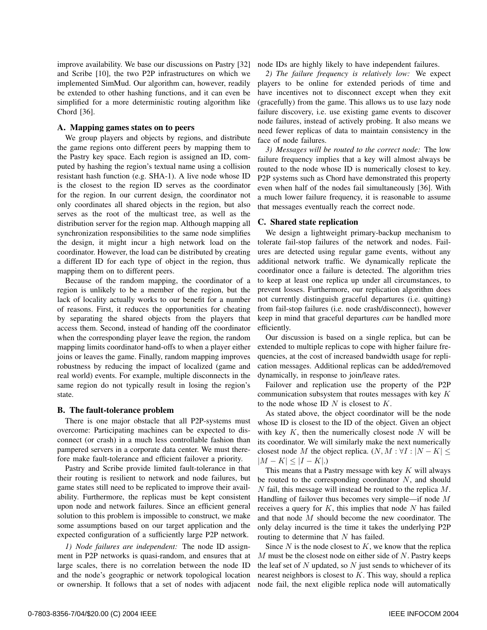improve availability. We base our discussions on Pastry [32] and Scribe [10], the two P2P infrastructures on which we implemented SimMud. Our algorithm can, however, readily be extended to other hashing functions, and it can even be simplified for a more deterministic routing algorithm like Chord [36].

### **A. Mapping games states on to peers**

We group players and objects by regions, and distribute the game regions onto different peers by mapping them to the Pastry key space. Each region is assigned an ID, computed by hashing the region's textual name using a collision resistant hash function (e.g. SHA-1). A live node whose ID is the closest to the region ID serves as the coordinator for the region. In our current design, the coordinator not only coordinates all shared objects in the region, but also serves as the root of the multicast tree, as well as the distribution server for the region map. Although mapping all synchronization responsibilities to the same node simplifies the design, it might incur a high network load on the coordinator. However, the load can be distributed by creating a different ID for each type of object in the region, thus mapping them on to different peers.

Because of the random mapping, the coordinator of a region is unlikely to be a member of the region, but the lack of locality actually works to our benefit for a number of reasons. First, it reduces the opportunities for cheating by separating the shared objects from the players that access them. Second, instead of handing off the coordinator when the corresponding player leave the region, the random mapping limits coordinator hand-offs to when a player either joins or leaves the game. Finally, random mapping improves robustness by reducing the impact of localized (game and real world) events. For example, multiple disconnects in the same region do not typically result in losing the region's state.

#### **B. The fault-tolerance problem**

There is one major obstacle that all P2P-systems must overcome: Participating machines can be expected to disconnect (or crash) in a much less controllable fashion than pampered servers in a corporate data center. We must therefore make fault-tolerance and efficient failover a priority.

Pastry and Scribe provide limited fault-tolerance in that their routing is resilient to network and node failures, but game states still need to be replicated to improve their availability. Furthermore, the replicas must be kept consistent upon node and network failures. Since an efficient general solution to this problem is impossible to construct, we make some assumptions based on our target application and the expected configuration of a sufficiently large P2P network.

*1) Node failures are independent:* The node ID assignment in P2P networks is quasi-random, and ensures that at large scales, there is no correlation between the node ID and the node's geographic or network topological location or ownership. It follows that a set of nodes with adjacent

node IDs are highly likely to have independent failures.

*2) The failure frequency is relatively low:* We expect players to be online for extended periods of time and have incentives not to disconnect except when they exit (gracefully) from the game. This allows us to use lazy node failure discovery, i.e. use existing game events to discover node failures, instead of actively probing. It also means we need fewer replicas of data to maintain consistency in the face of node failures.

*3) Messages will be routed to the correct node:* The low failure frequency implies that a key will almost always be routed to the node whose ID is numerically closest to key. P2P systems such as Chord have demonstrated this property even when half of the nodes fail simultaneously [36]. With a much lower failure frequency, it is reasonable to assume that messages eventually reach the correct node.

#### **C. Shared state replication**

We design a lightweight primary-backup mechanism to tolerate fail-stop failures of the network and nodes. Failures are detected using regular game events, without any additional network traffic. We dynamically replicate the coordinator once a failure is detected. The algorithm tries to keep at least one replica up under all circumstances, to prevent losses. Furthermore, our replication algorithm does not currently distinguish graceful departures (i.e. quitting) from fail-stop failures (i.e. node crash/disconnect), however keep in mind that graceful departures *can* be handled more efficiently.

Our discussion is based on a single replica, but can be extended to multiple replicas to cope with higher failure frequencies, at the cost of increased bandwidth usage for replication messages. Additional replicas can be added/removed dynamically, in response to join/leave rates.

Failover and replication use the property of the P2P communication subsystem that routes messages with key *K* to the node whose ID *N* is closest to *K*.

As stated above, the object coordinator will be the node whose ID is closest to the ID of the object. Given an object with key *K*, then the numerically closest node *N* will be its coordinator. We will similarly make the next numerically closest node *M* the object replica.  $(N, M : \forall I : |N - K|$  $|M$  − *K*| ≤ |*I* − *K*|.)

This means that a Pastry message with key *K* will always be routed to the corresponding coordinator *N*, and should *N* fail, this message will instead be routed to the replica *M*. Handling of failover thus becomes very simple—if node *M* receives a query for *K*, this implies that node *N* has failed and that node *M* should become the new coordinator. The only delay incurred is the time it takes the underlying P2P routing to determine that *N* has failed.

Since *N* is the node closest to *K*, we know that the replica *M* must be the closest node on either side of *N*. Pastry keeps the leaf set of *N* updated, so *N* just sends to whichever of its nearest neighbors is closest to *K*. This way, should a replica node fail, the next eligible replica node will automatically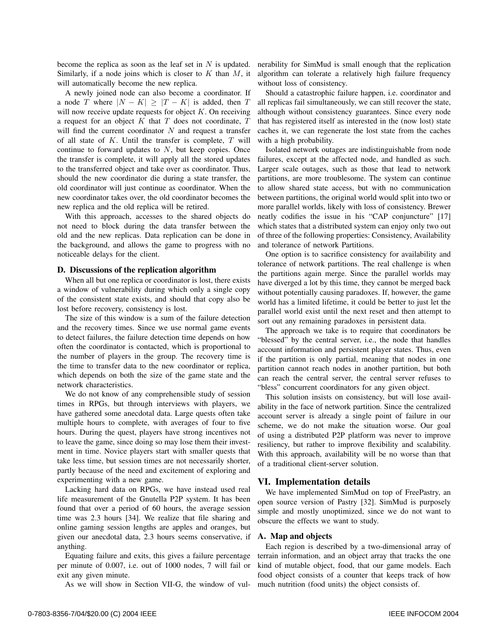become the replica as soon as the leaf set in *N* is updated. Similarly, if a node joins which is closer to *K* than *M*, it will automatically become the new replica.

A newly joined node can also become a coordinator. If a node *T* where  $|N - K| > |T - K|$  is added, then *T* will now receive update requests for object *K*. On receiving a request for an object *K* that *T* does not coordinate, *T* will find the current coordinator *N* and request a transfer of all state of *K*. Until the transfer is complete, *T* will continue to forward updates to *N*, but keep copies. Once the transfer is complete, it will apply all the stored updates to the transferred object and take over as coordinator. Thus, should the new coordinator die during a state transfer, the old coordinator will just continue as coordinator. When the new coordinator takes over, the old coordinator becomes the new replica and the old replica will be retired.

With this approach, accesses to the shared objects do not need to block during the data transfer between the old and the new replicas. Data replication can be done in the background, and allows the game to progress with no noticeable delays for the client.

#### **D. Discussions of the replication algorithm**

When all but one replica or coordinator is lost, there exists a window of vulnerability during which only a single copy of the consistent state exists, and should that copy also be lost before recovery, consistency is lost.

The size of this window is a sum of the failure detection and the recovery times. Since we use normal game events to detect failures, the failure detection time depends on how often the coordinator is contacted, which is proportional to the number of players in the group. The recovery time is the time to transfer data to the new coordinator or replica, which depends on both the size of the game state and the network characteristics.

We do not know of any comprehensible study of session times in RPGs, but through interviews with players, we have gathered some anecdotal data. Large quests often take multiple hours to complete, with averages of four to five hours. During the quest, players have strong incentives not to leave the game, since doing so may lose them their investment in time. Novice players start with smaller quests that take less time, but session times are not necessarily shorter, partly because of the need and excitement of exploring and experimenting with a new game.

Lacking hard data on RPGs, we have instead used real life measurement of the Gnutella P2P system. It has been found that over a period of 60 hours, the average session time was 2.3 hours [34]. We realize that file sharing and online gaming session lengths are apples and oranges, but given our anecdotal data, 2.3 hours seems conservative, if anything.

Equating failure and exits, this gives a failure percentage per minute of 0.007, i.e. out of 1000 nodes, 7 will fail or exit any given minute.

As we will show in Section VII-G, the window of vul-

nerability for SimMud is small enough that the replication algorithm can tolerate a relatively high failure frequency without loss of consistency.

Should a catastrophic failure happen, i.e. coordinator and all replicas fail simultaneously, we can still recover the state, although without consistency guarantees. Since every node that has registered itself as interested in the (now lost) state caches it, we can regenerate the lost state from the caches with a high probability.

Isolated network outages are indistinguishable from node failures, except at the affected node, and handled as such. Larger scale outages, such as those that lead to network partitions, are more troublesome. The system can continue to allow shared state access, but with no communication between partitions, the original world would split into two or more parallel worlds, likely with loss of consistency. Brewer neatly codifies the issue in his "CAP conjuncture" [17] which states that a distributed system can enjoy only two out of three of the following properties: Consistency, Availability and tolerance of network Partitions.

One option is to sacrifice consistency for availability and tolerance of network partitions. The real challenge is when the partitions again merge. Since the parallel worlds may have diverged a lot by this time, they cannot be merged back without potentially causing paradoxes. If, however, the game world has a limited lifetime, it could be better to just let the parallel world exist until the next reset and then attempt to sort out any remaining paradoxes in persistent data.

The approach we take is to require that coordinators be "blessed" by the central server, i.e., the node that handles account information and persistent player states. Thus, even if the partition is only partial, meaning that nodes in one partition cannot reach nodes in another partition, but both can reach the central server, the central server refuses to "bless" concurrent coordinators for any given object.

This solution insists on consistency, but will lose availability in the face of network partition. Since the centralized account server is already a single point of failure in our scheme, we do not make the situation worse. Our goal of using a distributed P2P platform was never to improve resiliency, but rather to improve flexibility and scalability. With this approach, availability will be no worse than that of a traditional client-server solution.

# **VI. Implementation details**

We have implemented SimMud on top of FreePastry, an open source version of Pastry [32]. SimMud is purposely simple and mostly unoptimized, since we do not want to obscure the effects we want to study.

#### **A. Map and objects**

Each region is described by a two-dimensional array of terrain information, and an object array that tracks the one kind of mutable object, food, that our game models. Each food object consists of a counter that keeps track of how much nutrition (food units) the object consists of.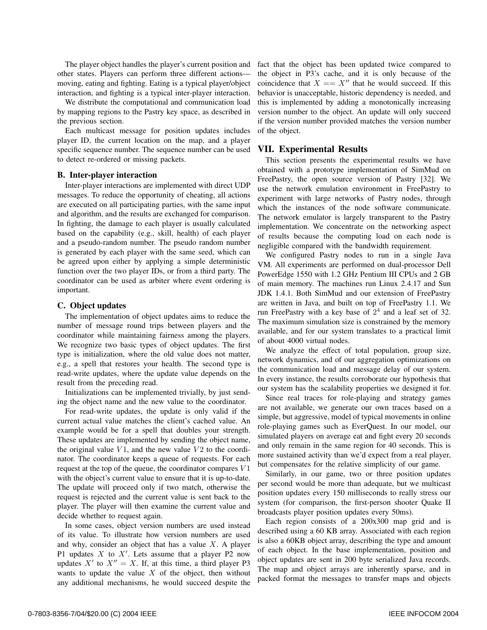The player object handles the player's current position and other states. Players can perform three different actions moving, eating and fighting. Eating is a typical player/object interaction, and fighting is a typical inter-player interaction.

We distribute the computational and communication load by mapping regions to the Pastry key space, as described in the previous section.

Each multicast message for position updates includes player ID, the current location on the map, and a player specific sequence number. The sequence number can be used to detect re-ordered or missing packets.

## **B. Inter-player interaction**

Inter-player interactions are implemented with direct UDP messages. To reduce the opportunity of cheating, all actions are executed on all participating parties, with the same input and algorithm, and the results are exchanged for comparison. In fighting, the damage to each player is usually calculated based on the capability (e.g., skill, health) of each player and a pseudo-random number. The pseudo random number is generated by each player with the same seed, which can be agreed upon either by applying a simple deterministic function over the two player IDs, or from a third party. The coordinator can be used as arbiter where event ordering is important.

#### **C. Object updates**

The implementation of object updates aims to reduce the number of message round trips between players and the coordinator while maintaining fairness among the players. We recognize two basic types of object updates. The first type is initialization, where the old value does not matter, e.g., a spell that restores your health. The second type is read-write updates, where the update value depends on the result from the preceding read.

Initializations can be implemented trivially, by just sending the object name and the new value to the coordinator.

For read-write updates, the update is only valid if the current actual value matches the client's cached value. An example would be for a spell that doubles your strength. These updates are implemented by sending the object name, the original value  $V1$ , and the new value  $V2$  to the coordinator. The coordinator keeps a queue of requests. For each request at the top of the queue, the coordinator compares *V* <sup>1</sup> with the object's current value to ensure that it is up-to-date. The update will proceed only if two match, otherwise the request is rejected and the current value is sent back to the player. The player will then examine the current value and decide whether to request again.

In some cases, object version numbers are used instead of its value. To illustrate how version numbers are used and why, consider an object that has a value *X*. A player P1 updates *X* to *X'*. Lets assume that a player P2 now updates *X'* to *X''* – *X*. If at this time a third player P3 updates  $X'$  to  $X'' = X$ . If, at this time, a third player P3 wants to update the value *X* of the object, then without any additional mechanisms, he would succeed despite the

fact that the object has been updated twice compared to the object in P3's cache, and it is only because of the coincidence that  $X = X''$  that he would succeed. If this behavior is unacceptable, historic dependency is needed, and this is implemented by adding a monotonically increasing version number to the object. An update will only succeed if the version number provided matches the version number of the object.

# **VII. Experimental Results**

This section presents the experimental results we have obtained with a prototype implementation of SimMud on FreePastry, the open source version of Pastry [32]. We use the network emulation environment in FreePastry to experiment with large networks of Pastry nodes, through which the instances of the node software communicate. The network emulator is largely transparent to the Pastry implementation. We concentrate on the networking aspect of results because the computing load on each node is negligible compared with the bandwidth requirement.

We configured Pastry nodes to run in a single Java VM. All experiments are performed on dual-processor Dell PowerEdge 1550 with 1.2 GHz Pentium III CPUs and 2 GB of main memory. The machines run Linux 2.4.17 and Sun JDK 1.4.1. Both SimMud and our extension of FreePastry are written in Java, and built on top of FreePastry 1.1. We run FreePastry with a key base of  $2<sup>4</sup>$  and a leaf set of 32. The maximum simulation size is constrained by the memory available, and for our system translates to a practical limit of about 4000 virtual nodes.

We analyze the effect of total population, group size, network dynamics, and of our aggregation optimizations on the communication load and message delay of our system. In every instance, the results corroborate our hypothesis that our system has the scalability properties we designed it for.

Since real traces for role-playing and strategy games are not available, we generate our own traces based on a simple, but aggressive, model of typical movements in online role-playing games such as EverQuest. In our model, our simulated players on average eat and fight every 20 seconds and only remain in the same region for 40 seconds. This is more sustained activity than we'd expect from a real player, but compensates for the relative simplicity of our game.

Similarly, in our game, two or three position updates per second would be more than adequate, but we multicast position updates every 150 milliseconds to really stress our system (for comparison, the first-person shooter Quake II broadcasts player position updates every 50ms).

Each region consists of a 200x300 map grid and is described using a 60 KB array. Associated with each region is also a 60KB object array, describing the type and amount of each object. In the base implementation, position and object updates are sent in 200 byte serialized Java records. The map and object arrays are inherently sparse, and in packed format the messages to transfer maps and objects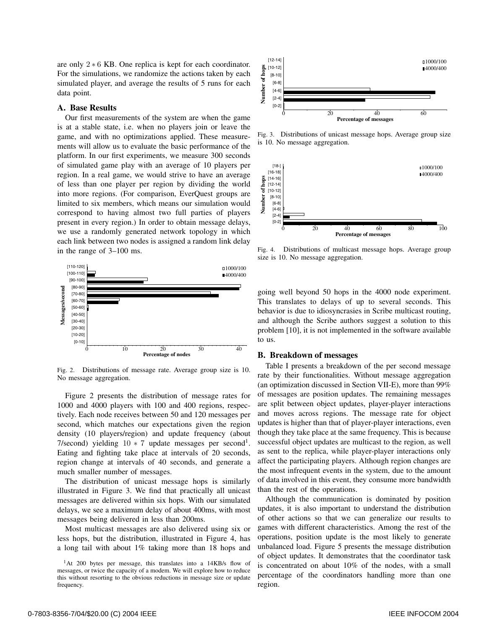are only 2 ∗ 6 KB. One replica is kept for each coordinator. For the simulations, we randomize the actions taken by each simulated player, and average the results of 5 runs for each data point.

### **A. Base Results**

Our first measurements of the system are when the game is at a stable state, i.e. when no players join or leave the game, and with no optimizations applied. These measurements will allow us to evaluate the basic performance of the platform. In our first experiments, we measure 300 seconds of simulated game play with an average of 10 players per region. In a real game, we would strive to have an average of less than one player per region by dividing the world into more regions. (For comparison, EverQuest groups are limited to six members, which means our simulation would correspond to having almost two full parties of players present in every region.) In order to obtain message delays, we use a randomly generated network topology in which each link between two nodes is assigned a random link delay in the range of 3–100 ms.



Fig. 2. Distributions of message rate. Average group size is 10. No message aggregation.

Figure 2 presents the distribution of message rates for 1000 and 4000 players with 100 and 400 regions, respectively. Each node receives between 50 and 120 messages per second, which matches our expectations given the region density (10 players/region) and update frequency (about 7/second) yielding  $10 * 7$  update messages per second<sup>1</sup>. Eating and fighting take place at intervals of 20 seconds, region change at intervals of 40 seconds, and generate a much smaller number of messages.

The distribution of unicast message hops is similarly illustrated in Figure 3. We find that practically all unicast messages are delivered within six hops. With our simulated delays, we see a maximum delay of about 400ms, with most messages being delivered in less than 200ms.

Most multicast messages are also delivered using six or less hops, but the distribution, illustrated in Figure 4, has a long tail with about 1% taking more than 18 hops and



Fig. 3. Distributions of unicast message hops. Average group size is 10. No message aggregation.



Fig. 4. Distributions of multicast message hops. Average group size is 10. No message aggregation.

going well beyond 50 hops in the 4000 node experiment. This translates to delays of up to several seconds. This behavior is due to idiosyncrasies in Scribe multicast routing, and although the Scribe authors suggest a solution to this problem [10], it is not implemented in the software available to us.

#### **B. Breakdown of messages**

Table I presents a breakdown of the per second message rate by their functionalities. Without message aggregation (an optimization discussed in Section VII-E), more than 99% of messages are position updates. The remaining messages are split between object updates, player-player interactions and moves across regions. The message rate for object updates is higher than that of player-player interactions, even though they take place at the same frequency. This is because successful object updates are multicast to the region, as well as sent to the replica, while player-player interactions only affect the participating players. Although region changes are the most infrequent events in the system, due to the amount of data involved in this event, they consume more bandwidth than the rest of the operations.

Although the communication is dominated by position updates, it is also important to understand the distribution of other actions so that we can generalize our results to games with different characteristics. Among the rest of the operations, position update is the most likely to generate unbalanced load. Figure 5 presents the message distribution of object updates. It demonstrates that the coordinator task is concentrated on about 10% of the nodes, with a small percentage of the coordinators handling more than one region.

<sup>1</sup>At 200 bytes per message, this translates into a 14KB/s flow of messages, or twice the capacity of a modem. We will explore how to reduce this without resorting to the obvious reductions in message size or update frequency.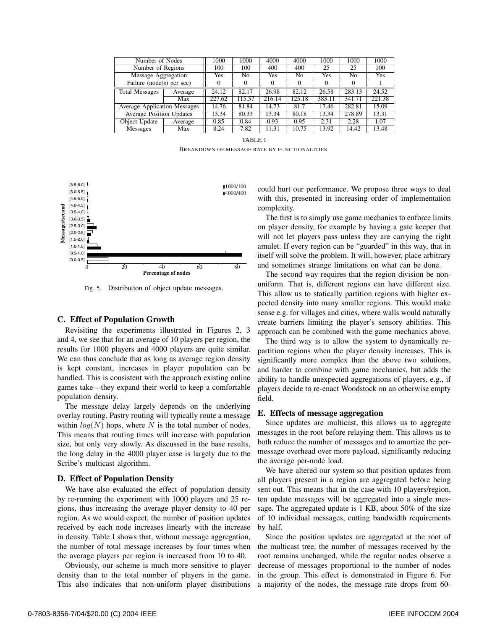| Number of Nodes                     |         | 1000     | 1000   | 4000   | 4000   | 1000   | 1000   | 1000   |
|-------------------------------------|---------|----------|--------|--------|--------|--------|--------|--------|
| Number of Regions                   |         | 100      | 100    | 400    | 400    | 25     | 25     | 100    |
| Message Aggregation                 |         | Yes      | Nο     | Yes    | No     | Yes    | No     | Yes    |
| Failure ( $node(s)$ ) per sec)      |         | $\theta$ |        | O      |        | O      | 0      |        |
| <b>Total Messages</b>               | Average | 24.12    | 82.17  | 26.98  | 82.12  | 26.58  | 283.13 | 24.52  |
|                                     | Max     | 227.62   | 115.57 | 216.14 | 125.18 | 383.11 | 341.71 | 221.38 |
| <b>Average Application Messages</b> |         | 14.76    | 81.84  | 14.73  | 81.7   | 17.46  | 282.81 | 15.09  |
| <b>Average Position Updates</b>     |         | 13.34    | 80.33  | 13.34  | 80.18  | 13.34  | 278.89 | 13.31  |
| Object Update                       | Average | 0.85     | 0.84   | 0.93   | 0.95   | 2.31   | 2.28   | 1.07   |
| Messages                            | Max     | 8.24     | 7.82   | 11.31  | 10.75  | 13.92  | 14.42  | 13.48  |
|                                     |         |          |        |        |        |        |        |        |

TABLE I BREAKDOWN OF MESSAGE RATE BY FUNCTIONALITIES.



Fig. 5. Distribution of object update messages.

# **C. Effect of Population Growth**

Revisiting the experiments illustrated in Figures 2, 3 and 4, we see that for an average of 10 players per region, the results for 1000 players and 4000 players are quite similar. We can thus conclude that as long as average region density is kept constant, increases in player population can be handled. This is consistent with the approach existing online games take—they expand their world to keep a comfortable population density.

The message delay largely depends on the underlying overlay routing. Pastry routing will typically route a message within  $log(N)$  hops, where *N* is the total number of nodes. This means that routing times will increase with population size, but only very slowly. As discussed in the base results, the long delay in the 4000 player case is largely due to the Scribe's multicast algorithm.

#### **D. Effect of Population Density**

We have also evaluated the effect of population density by re-running the experiment with 1000 players and 25 regions, thus increasing the average player density to 40 per region. As we would expect, the number of position updates received by each node increases linearly with the increase in density. Table I shows that, without message aggregation, the number of total message increases by four times when the average players per region is increased from 10 to 40.

Obviously, our scheme is much more sensitive to player density than to the total number of players in the game. This also indicates that non-uniform player distributions

could hurt our performance. We propose three ways to deal with this, presented in increasing order of implementation complexity.

The first is to simply use game mechanics to enforce limits on player density, for example by having a gate keeper that will not let players pass unless they are carrying the right amulet. If every region can be "guarded" in this way, that in itself will solve the problem. It will, however, place arbitrary and sometimes strange limitations on what can be done.

The second way requires that the region division be nonuniform. That is, different regions can have different size. This allow us to statically partition regions with higher expected density into many smaller regions. This would make sense e.g. for villages and cities, where walls would naturally create barriers limiting the player's sensory abilities. This approach can be combined with the game mechanics above.

The third way is to allow the system to dynamically repartition regions when the player density increases. This is significantly more complex than the above two solutions, and harder to combine with game mechanics, but adds the ability to handle unexpected aggregations of players, e.g., if players decide to re-enact Woodstock on an otherwise empty field.

#### **E. Effects of message aggregation**

Since updates are multicast, this allows us to aggregate messages in the root before relaying them. This allows us to both reduce the number of messages and to amortize the permessage overhead over more payload, significantly reducing the average per-node load.

We have altered our system so that position updates from all players present in a region are aggregated before being sent out. This means that in the case with 10 players/region, ten update messages will be aggregated into a single message. The aggregated update is 1 KB, about 50% of the size of 10 individual messages, cutting bandwidth requirements by half.

Since the position updates are aggregated at the root of the multicast tree, the number of messages received by the root remains unchanged, while the regular nodes observe a decrease of messages proportional to the number of nodes in the group. This effect is demonstrated in Figure 6. For a majority of the nodes, the message rate drops from 60-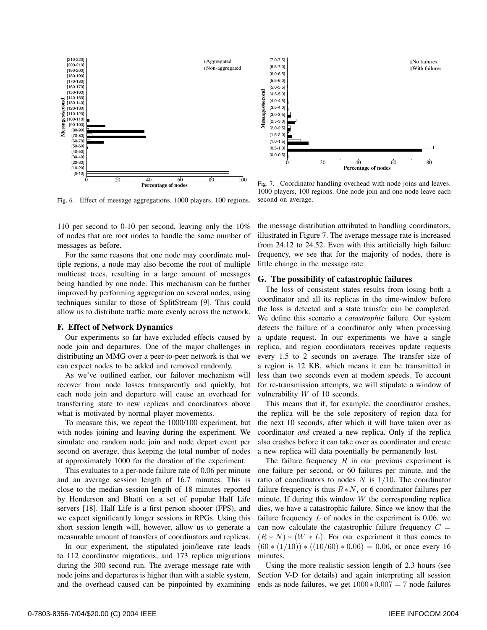

[7.0-7.5] No failures  $[6.5 - 7.0]$ With failures [6.0-6.5]  $[5.5-6.0]$  $[5.0 - 5.5]$ Messages/second **Messages/second**  $[4.5 - 5.0]$  $[4.0 - 4.5]$ [3.5-4.0] [3.0-3.5] [2.5-3.0] [2.0-2.5] [1.5-2.0] [1.0-1.5]  $[0.5 - 1.0]$  $[0.0 - 0.5]$ 0 20 40 60 80 **Percentage of nodes**

Fig. 6. Effect of message aggregations. 1000 players, 100 regions.

Fig. 7. Coordinator handling overhead with node joins and leaves. 1000 players, 100 regions. One node join and one node leave each second on average.

110 per second to 0-10 per second, leaving only the 10% of nodes that are root nodes to handle the same number of messages as before.

For the same reasons that one node may coordinate multiple regions, a node may also become the root of multiple multicast trees, resulting in a large amount of messages being handled by one node. This mechanism can be further improved by performing aggregation on several nodes, using techniques similar to those of SplitStream [9]. This could allow us to distribute traffic more evenly across the network.

#### **F. Effect of Network Dynamics**

Our experiments so far have excluded effects caused by node join and departures. One of the major challenges in distributing an MMG over a peer-to-peer network is that we can expect nodes to be added and removed randomly.

As we've outlined earlier, our failover mechanism will recover from node losses transparently and quickly, but each node join and departure will cause an overhead for transferring state to new replicas and coordinators above what is motivated by normal player movements.

To measure this, we repeat the 1000/100 experiment, but with nodes joining and leaving during the experiment. We simulate one random node join and node depart event per second on average, thus keeping the total number of nodes at approximately 1000 for the duration of the experiment.

This evaluates to a per-node failure rate of 0.06 per minute and an average session length of 16.7 minutes. This is close to the median session length of 18 minutes reported by Henderson and Bhatti on a set of popular Half Life servers [18]. Half Life is a first person shooter (FPS), and we expect significantly longer sessions in RPGs. Using this short session length will, however, allow us to generate a measurable amount of transfers of coordinators and replicas.

In our experiment, the stipulated join/leave rate leads to 112 coordinator migrations, and 173 replica migrations during the 300 second run. The average message rate with node joins and departures is higher than with a stable system, and the overhead caused can be pinpointed by examining the message distribution attributed to handling coordinators, illustrated in Figure 7. The average message rate is increased from 24.12 to 24.52. Even with this artificially high failure frequency, we see that for the majority of nodes, there is little change in the message rate.

### **G. The possibility of catastrophic failures**

The loss of consistent states results from losing both a coordinator and all its replicas in the time-window before the loss is detected and a state transfer can be completed. We define this scenario a *catastrophic* failure. Our system detects the failure of a coordinator only when processing a update request. In our experiments we have a single replica, and region coordinators receives update requests every 1.5 to 2 seconds on average. The transfer size of a region is 12 KB, which means it can be transmitted in less than two seconds even at modem speeds. To account for re-transmission attempts, we will stipulate a window of vulnerability *W* of 10 seconds.

This means that if, for example, the coordinator crashes, the replica will be the sole repository of region data for the next 10 seconds, after which it will have taken over as coordinator *and* created a new replica. Only if the replica also crashes before it can take over as coordinator and create a new replica will data potentially be permanently lost.

The failure frequency *R* in our previous experiment is one failure per second, or 60 failures per minute, and the ratio of coordinators to nodes *N* is <sup>1</sup>*/*10. The coordinator failure frequency is thus *R*∗*N*, or 6 coordinator failures per minute. If during this window *W* the corresponding replica dies, we have a catastrophic failure. Since we know that the failure frequency *L* of nodes in the experiment is 0.06, we can now calculate the catastrophic failure frequency  $C =$  $(R*N)*(W*L)$ . For our experiment it thus comes to  $(60 * (1/10)) * ((10/60) * 0.06) = 0.06$ , or once every 16 minutes.

Using the more realistic session length of 2.3 hours (see Section V-D for details) and again interpreting all session ends as node failures, we get <sup>1000</sup>∗0*.*007 = 7 node failures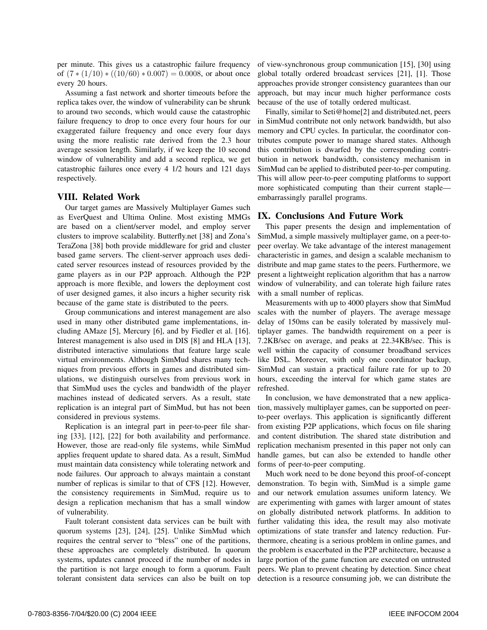per minute. This gives us a catastrophic failure frequency of  $(7 * (1/10) * ((10/60) * 0.007) = 0.0008$ , or about once every 20 hours.

Assuming a fast network and shorter timeouts before the replica takes over, the window of vulnerability can be shrunk to around two seconds, which would cause the catastrophic failure frequency to drop to once every four hours for our exaggerated failure frequency and once every four days using the more realistic rate derived from the 2.3 hour average session length. Similarly, if we keep the 10 second window of vulnerability and add a second replica, we get catastrophic failures once every 4 1/2 hours and 121 days respectively.

# **VIII. Related Work**

Our target games are Massively Multiplayer Games such as EverQuest and Ultima Online. Most existing MMGs are based on a client/server model, and employ server clusters to improve scalability. Butterfly.net [38] and Zona's TeraZona [38] both provide middleware for grid and cluster based game servers. The client-server approach uses dedicated server resources instead of resources provided by the game players as in our P2P approach. Although the P2P approach is more flexible, and lowers the deployment cost of user designed games, it also incurs a higher security risk because of the game state is distributed to the peers.

Group communications and interest management are also used in many other distributed game implementations, including AMaze [5], Mercury [6], and by Fiedler et al. [16]. Interest management is also used in DIS [8] and HLA [13], distributed interactive simulations that feature large scale virtual environments. Although SimMud shares many techniques from previous efforts in games and distributed simulations, we distinguish ourselves from previous work in that SimMud uses the cycles and bandwidth of the player machines instead of dedicated servers. As a result, state replication is an integral part of SimMud, but has not been considered in previous systems.

Replication is an integral part in peer-to-peer file sharing [33], [12], [22] for both availability and performance. However, those are read-only file systems, while SimMud applies frequent update to shared data. As a result, SimMud must maintain data consistency while tolerating network and node failures. Our approach to always maintain a constant number of replicas is similar to that of CFS [12]. However, the consistency requirements in SimMud, require us to design a replication mechanism that has a small window of vulnerability.

Fault tolerant consistent data services can be built with quorum systems [23], [24], [25]. Unlike SimMud which requires the central server to "bless" one of the partitions, these approaches are completely distributed. In quorum systems, updates cannot proceed if the number of nodes in the partition is not large enough to form a quorum. Fault tolerant consistent data services can also be built on top

of view-synchronous group communication [15], [30] using global totally ordered broadcast services [21], [1]. Those approaches provide stronger consistency guarantees than our approach, but may incur much higher performance costs because of the use of totally ordered multicast.

Finally, similar to Seti@home[2] and distributed.net, peers in SimMud contribute not only network bandwidth, but also memory and CPU cycles. In particular, the coordinator contributes compute power to manage shared states. Although this contribution is dwarfed by the corresponding contribution in network bandwidth, consistency mechanism in SimMud can be applied to distributed peer-to-per computing. This will allow peer-to-peer computing platforms to support more sophisticated computing than their current staple embarrassingly parallel programs.

# **IX. Conclusions And Future Work**

This paper presents the design and implementation of SimMud, a simple massively multiplayer game, on a peer-topeer overlay. We take advantage of the interest management characteristic in games, and design a scalable mechanism to distribute and map game states to the peers. Furthermore, we present a lightweight replication algorithm that has a narrow window of vulnerability, and can tolerate high failure rates with a small number of replicas.

Measurements with up to 4000 players show that SimMud scales with the number of players. The average message delay of 150ms can be easily tolerated by massively multiplayer games. The bandwidth requirement on a peer is 7.2KB/sec on average, and peaks at 22.34KB/sec. This is well within the capacity of consumer broadband services like DSL. Moreover, with only one coordinator backup, SimMud can sustain a practical failure rate for up to 20 hours, exceeding the interval for which game states are refreshed.

In conclusion, we have demonstrated that a new application, massively multiplayer games, can be supported on peerto-peer overlays. This application is significantly different from existing P2P applications, which focus on file sharing and content distribution. The shared state distribution and replication mechanism presented in this paper not only can handle games, but can also be extended to handle other forms of peer-to-peer computing.

Much work need to be done beyond this proof-of-concept demonstration. To begin with, SimMud is a simple game and our network emulation assumes uniform latency. We are experimenting with games with larger amount of states on globally distributed network platforms. In addition to further validating this idea, the result may also motivate optimizations of state transfer and latency reduction. Furthermore, cheating is a serious problem in online games, and the problem is exacerbated in the P2P architecture, because a large portion of the game function are executed on untrusted peers. We plan to prevent cheating by detection. Since cheat detection is a resource consuming job, we can distribute the